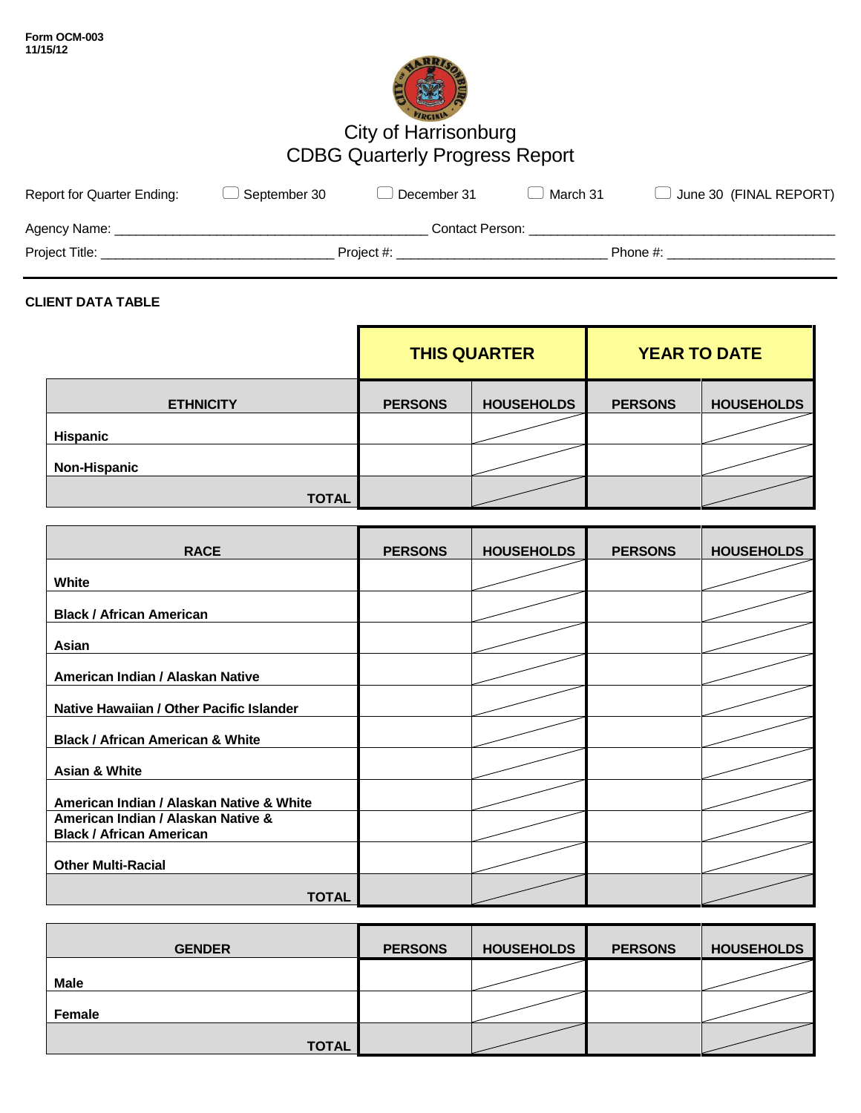

# City of Harrisonburg CDBG Quarterly Progress Report

| <b>Report for Quarter Ending:</b> | September 30 | December 31     | March 31 | $\Box$ June 30 (FINAL REPORT) |
|-----------------------------------|--------------|-----------------|----------|-------------------------------|
| Agency Name:                      |              | Contact Person: |          |                               |
| Project Title:                    |              | Project #:      |          | Phone #:                      |

## **CLIENT DATA TABLE**

|                     |                | <b>THIS QUARTER</b> |                | <b>YEAR TO DATE</b> |
|---------------------|----------------|---------------------|----------------|---------------------|
| <b>ETHNICITY</b>    | <b>PERSONS</b> | <b>HOUSEHOLDS</b>   | <b>PERSONS</b> | <b>HOUSEHOLDS</b>   |
| <b>Hispanic</b>     |                |                     |                |                     |
| <b>Non-Hispanic</b> |                |                     |                |                     |
| <b>TOTAL</b>        |                |                     |                |                     |

| <b>RACE</b>                                                           | <b>PERSONS</b> | <b>HOUSEHOLDS</b> | <b>PERSONS</b> | <b>HOUSEHOLDS</b> |
|-----------------------------------------------------------------------|----------------|-------------------|----------------|-------------------|
| <b>White</b>                                                          |                |                   |                |                   |
| <b>Black / African American</b>                                       |                |                   |                |                   |
| Asian                                                                 |                |                   |                |                   |
| American Indian / Alaskan Native                                      |                |                   |                |                   |
| Native Hawaiian / Other Pacific Islander                              |                |                   |                |                   |
| <b>Black / African American &amp; White</b>                           |                |                   |                |                   |
| <b>Asian &amp; White</b>                                              |                |                   |                |                   |
| American Indian / Alaskan Native & White                              |                |                   |                |                   |
| American Indian / Alaskan Native &<br><b>Black / African American</b> |                |                   |                |                   |
| <b>Other Multi-Racial</b>                                             |                |                   |                |                   |
| <b>TOTAL</b>                                                          |                |                   |                |                   |

| <b>GENDER</b> | <b>PERSONS</b> | <b>HOUSEHOLDS</b> | <b>PERSONS</b> | <b>HOUSEHOLDS</b> |
|---------------|----------------|-------------------|----------------|-------------------|
| <b>Male</b>   |                |                   |                |                   |
| Female        |                |                   |                |                   |
| <b>TOTAL</b>  |                |                   |                |                   |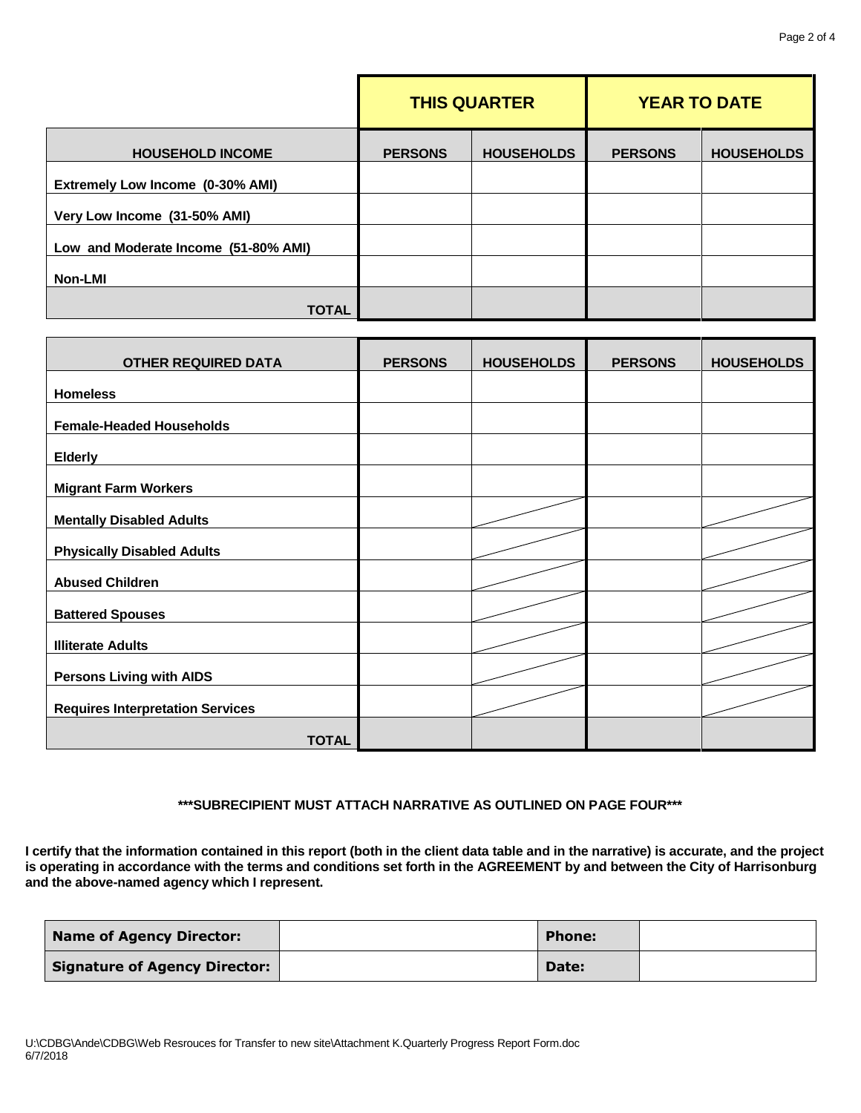|                                      | <b>THIS QUARTER</b> |                   | <b>YEAR TO DATE</b> |                   |
|--------------------------------------|---------------------|-------------------|---------------------|-------------------|
| <b>HOUSEHOLD INCOME</b>              | <b>PERSONS</b>      | <b>HOUSEHOLDS</b> | <b>PERSONS</b>      | <b>HOUSEHOLDS</b> |
| Extremely Low Income (0-30% AMI)     |                     |                   |                     |                   |
| Very Low Income (31-50% AMI)         |                     |                   |                     |                   |
| Low and Moderate Income (51-80% AMI) |                     |                   |                     |                   |
| <b>Non-LMI</b>                       |                     |                   |                     |                   |
| <b>TOTAL</b>                         |                     |                   |                     |                   |

| <b>OTHER REQUIRED DATA</b>              | <b>PERSONS</b> | <b>HOUSEHOLDS</b> | <b>PERSONS</b> | <b>HOUSEHOLDS</b> |
|-----------------------------------------|----------------|-------------------|----------------|-------------------|
| <b>Homeless</b>                         |                |                   |                |                   |
| <b>Female-Headed Households</b>         |                |                   |                |                   |
| <b>Elderly</b>                          |                |                   |                |                   |
| <b>Migrant Farm Workers</b>             |                |                   |                |                   |
| <b>Mentally Disabled Adults</b>         |                |                   |                |                   |
| <b>Physically Disabled Adults</b>       |                |                   |                |                   |
| <b>Abused Children</b>                  |                |                   |                |                   |
| <b>Battered Spouses</b>                 |                |                   |                |                   |
| <b>Illiterate Adults</b>                |                |                   |                |                   |
| <b>Persons Living with AIDS</b>         |                |                   |                |                   |
| <b>Requires Interpretation Services</b> |                |                   |                |                   |
| <b>TOTAL</b>                            |                |                   |                |                   |

## **\*\*\*SUBRECIPIENT MUST ATTACH NARRATIVE AS OUTLINED ON PAGE FOUR\*\*\***

**I certify that the information contained in this report (both in the client data table and in the narrative) is accurate, and the project**  is operating in accordance with the terms and conditions set forth in the AGREEMENT by and between the City of Harrisonburg **and the above-named agency which I represent.**

| <b>Name of Agency Director:</b>      | <b>Phone:</b> |  |
|--------------------------------------|---------------|--|
| <b>Signature of Agency Director:</b> | Date:         |  |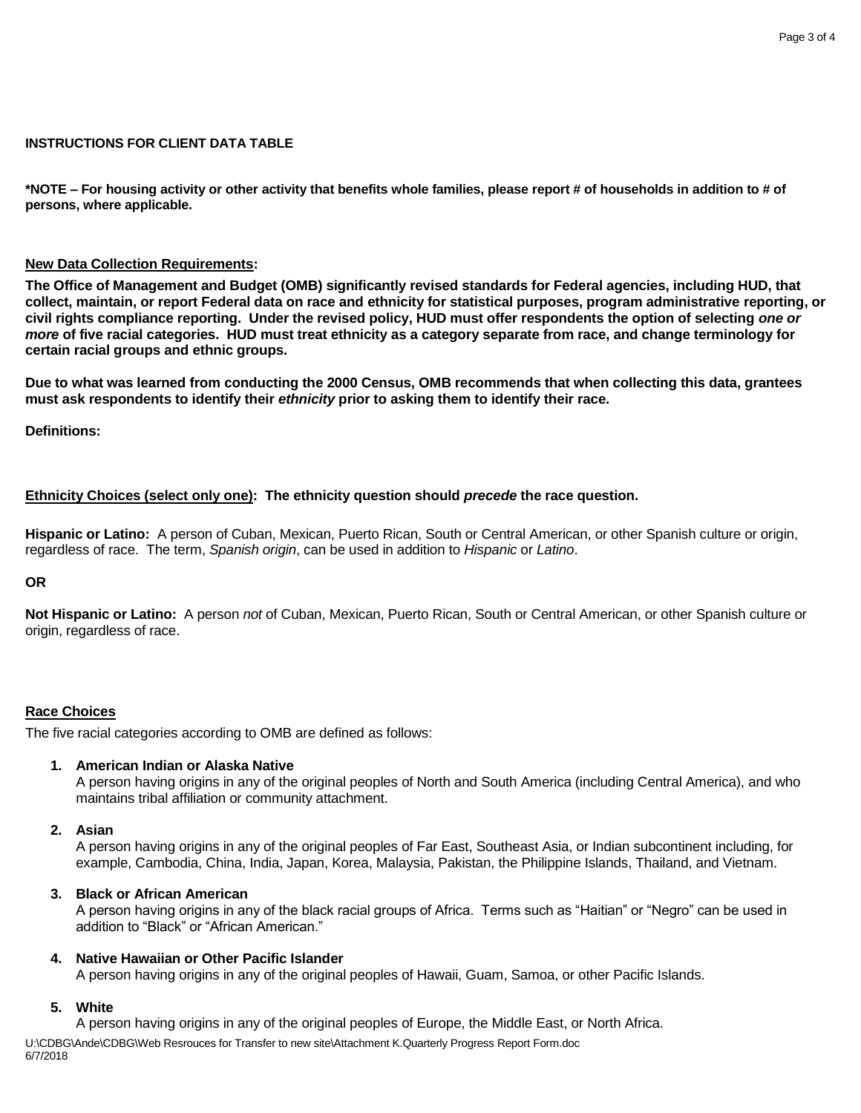### **INSTRUCTIONS FOR CLIENT DATA TABLE**

**\*NOTE – For housing activity or other activity that benefits whole families, please report # of households in addition to # of persons, where applicable.**

#### **New Data Collection Requirements:**

**The Office of Management and Budget (OMB) significantly revised standards for Federal agencies, including HUD, that collect, maintain, or report Federal data on race and ethnicity for statistical purposes, program administrative reporting, or civil rights compliance reporting. Under the revised policy, HUD must offer respondents the option of selecting** *one or more* **of five racial categories. HUD must treat ethnicity as a category separate from race, and change terminology for certain racial groups and ethnic groups.**

**Due to what was learned from conducting the 2000 Census, OMB recommends that when collecting this data, grantees must ask respondents to identify their** *ethnicity* **prior to asking them to identify their race.**

**Definitions:**

## **Ethnicity Choices (select only one): The ethnicity question should** *precede* **the race question.**

**Hispanic or Latino:** A person of Cuban, Mexican, Puerto Rican, South or Central American, or other Spanish culture or origin, regardless of race. The term, *Spanish origin*, can be used in addition to *Hispanic* or *Latino*.

#### **OR**

**Not Hispanic or Latino:** A person *not* of Cuban, Mexican, Puerto Rican, South or Central American, or other Spanish culture or origin, regardless of race.

## **Race Choices**

The five racial categories according to OMB are defined as follows:

#### **1. American Indian or Alaska Native**

A person having origins in any of the original peoples of North and South America (including Central America), and who maintains tribal affiliation or community attachment.

#### **2. Asian**

A person having origins in any of the original peoples of Far East, Southeast Asia, or Indian subcontinent including, for example, Cambodia, China, India, Japan, Korea, Malaysia, Pakistan, the Philippine Islands, Thailand, and Vietnam.

#### **3. Black or African American**

A person having origins in any of the black racial groups of Africa. Terms such as "Haitian" or "Negro" can be used in addition to "Black" or "African American."

#### **4. Native Hawaiian or Other Pacific Islander**

A person having origins in any of the original peoples of Hawaii, Guam, Samoa, or other Pacific Islands.

### **5. White**

A person having origins in any of the original peoples of Europe, the Middle East, or North Africa.

U:\CDBG\Ande\CDBG\Web Resrouces for Transfer to new site\Attachment K.Quarterly Progress Report Form.doc 6/7/2018